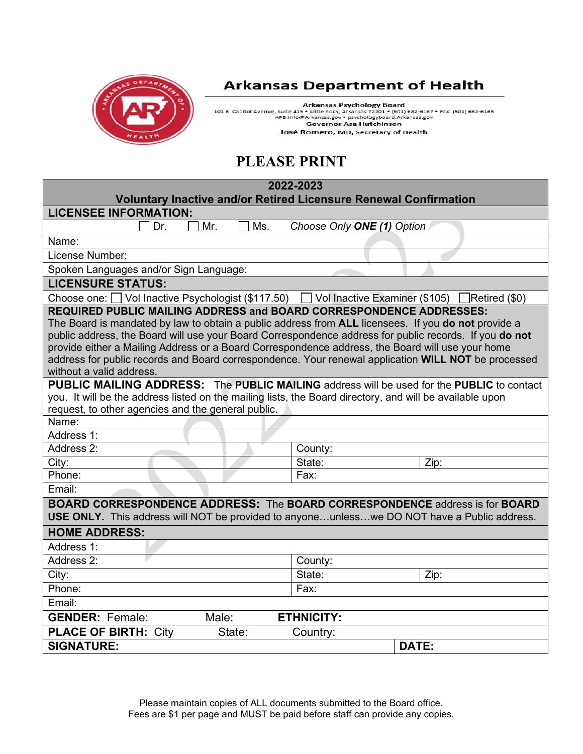

## **Arkansas Department of Health**

Arkansas Psychology Board<br>101 E. Capitol Avenue, Suite 415 • Little Rock, Arkansas 72201 • (501) 682-6167 • Fax: (501) 682-6165<br>APB.Info@Arkansas.gov • psychologyboard.Arkansas.gov<br>Governor Asa Hutchinson José Romero, MD, Secretary of Health

# **PLEASE PRINT**

| 2022-2023                                                                                                      |               |  |
|----------------------------------------------------------------------------------------------------------------|---------------|--|
| <b>Voluntary Inactive and/or Retired Licensure Renewal Confirmation</b><br><b>LICENSEE INFORMATION:</b>        |               |  |
| Mr.<br>Ms.<br>Choose Only ONE (1) Option<br>Dr.                                                                |               |  |
| Name:                                                                                                          |               |  |
| License Number:                                                                                                |               |  |
| Spoken Languages and/or Sign Language:                                                                         |               |  |
| <b>LICENSURE STATUS:</b>                                                                                       |               |  |
| Choose one: Vol Inactive Psychologist (\$117.50) [<br>Vol Inactive Examiner (\$105)                            | Retired (\$0) |  |
| <b>REQUIRED PUBLIC MAILING ADDRESS and BOARD CORRESPONDENCE ADDRESSES:</b>                                     |               |  |
| The Board is mandated by law to obtain a public address from ALL licensees. If you do not provide a            |               |  |
| public address, the Board will use your Board Correspondence address for public records. If you do not         |               |  |
| provide either a Mailing Address or a Board Correspondence address, the Board will use your home               |               |  |
| address for public records and Board correspondence. Your renewal application WILL NOT be processed            |               |  |
| without a valid address.                                                                                       |               |  |
| <b>PUBLIC MAILING ADDRESS:</b> The <b>PUBLIC MAILING</b> address will be used for the <b>PUBLIC</b> to contact |               |  |
| you. It will be the address listed on the mailing lists, the Board directory, and will be available upon       |               |  |
| request, to other agencies and the general public.                                                             |               |  |
| Name:                                                                                                          |               |  |
| Address 1:                                                                                                     |               |  |
| Address 2:<br>County:                                                                                          |               |  |
| City:<br>State:                                                                                                | Zip:          |  |
| Phone:<br>Fax:                                                                                                 |               |  |
| Email:                                                                                                         |               |  |
| <b>BOARD CORRESPONDENCE ADDRESS: The BOARD CORRESPONDENCE address is for BOARD</b>                             |               |  |
| <b>USE ONLY.</b> This address will NOT be provided to anyoneunlesswe DO NOT have a Public address.             |               |  |
| <b>HOME ADDRESS:</b>                                                                                           |               |  |
| Address 1:                                                                                                     |               |  |
| Address 2:<br>County:                                                                                          |               |  |
| City:<br>State:                                                                                                | Zip:          |  |
| Phone:<br>Fax:                                                                                                 |               |  |
| Email:                                                                                                         |               |  |
| <b>ETHNICITY:</b><br><b>GENDER: Female:</b><br>Male:                                                           |               |  |
| <b>PLACE OF BIRTH: City</b><br>State:<br>Country:                                                              |               |  |
| <b>SIGNATURE:</b>                                                                                              | DATE:         |  |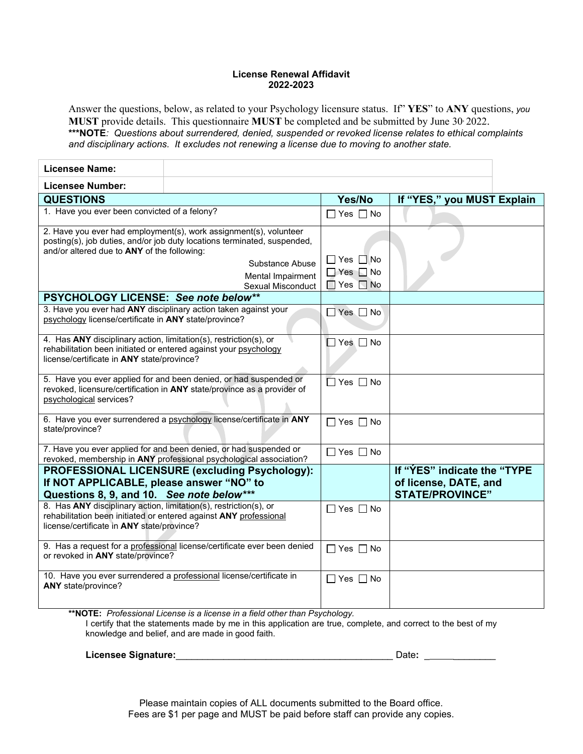#### **License Renewal Affidavit 2022-2023**

Answer the questions, below, as related to your Psychology licensure status. If" **YES**" to **ANY** questions, *you* **MUST** provide details. This questionnaire **MUST** be completed and be submitted by June 30, 2022. **\*\*\*NOTE***: Questions about surrendered, denied, suspended or revoked license relates to ethical complaints and disciplinary actions. It excludes not renewing a license due to moving to another state.*

| <b>Licensee Name:</b>                                                                                                                                                               |                                                                                                                                                                                                            |                                                                      |                                                                                |
|-------------------------------------------------------------------------------------------------------------------------------------------------------------------------------------|------------------------------------------------------------------------------------------------------------------------------------------------------------------------------------------------------------|----------------------------------------------------------------------|--------------------------------------------------------------------------------|
| <b>Licensee Number:</b>                                                                                                                                                             |                                                                                                                                                                                                            |                                                                      |                                                                                |
| <b>QUESTIONS</b>                                                                                                                                                                    |                                                                                                                                                                                                            | Yes/No                                                               | If "YES," you MUST Explain                                                     |
| 1. Have you ever been convicted of a felony?                                                                                                                                        |                                                                                                                                                                                                            | $\Box$ Yes $\Box$ No                                                 |                                                                                |
| and/or altered due to ANY of the following:<br>PSYCHOLOGY LICENSE: See note below**                                                                                                 | 2. Have you ever had employment(s), work assignment(s), volunteer<br>posting(s), job duties, and/or job duty locations terminated, suspended,<br>Substance Abuse<br>Mental Impairment<br>Sexual Misconduct | $\Box$ Yes $\Box$ No<br>$\Box$ Yes $\Box$ No<br>$\Box$ Yes $\Box$ No |                                                                                |
| psychology license/certificate in ANY state/province?                                                                                                                               | 3. Have you ever had ANY disciplinary action taken against your                                                                                                                                            | $\Box$ Yes $\Box$ No                                                 |                                                                                |
| 4. Has ANY disciplinary action, limitation(s), restriction(s), or<br>rehabilitation been initiated or entered against your psychology<br>license/certificate in ANY state/province? |                                                                                                                                                                                                            | $\Box$ Yes $\Box$ No                                                 |                                                                                |
| psychological services?                                                                                                                                                             | 5. Have you ever applied for and been denied, or had suspended or<br>revoked, licensure/certification in ANY state/province as a provider of                                                               | $\Box$ Yes $\Box$ No                                                 |                                                                                |
| state/province?                                                                                                                                                                     | 6. Have you ever surrendered a psychology license/certificate in ANY                                                                                                                                       | $\Box$ Yes $\Box$ No                                                 |                                                                                |
|                                                                                                                                                                                     | 7. Have you ever applied for and been denied, or had suspended or<br>revoked, membership in ANY professional psychological association?                                                                    | $\Box$ Yes $\Box$ No                                                 |                                                                                |
| If NOT APPLICABLE, please answer "NO" to<br>Questions 8, 9, and 10. See note below***                                                                                               | PROFESSIONAL LICENSURE (excluding Psychology):                                                                                                                                                             |                                                                      | If "YES" indicate the "TYPE<br>of license, DATE, and<br><b>STATE/PROVINCE"</b> |
| 8. Has ANY disciplinary action, limitation(s), restriction(s), or<br>license/certificate in ANY state/province?                                                                     | rehabilitation been initiated or entered against ANY professional                                                                                                                                          | $\Box$ Yes $\Box$ No                                                 |                                                                                |
| or revoked in ANY state/province?                                                                                                                                                   | 9. Has a request for a professional license/certificate ever been denied                                                                                                                                   | $\Box$ Yes $\Box$ No                                                 |                                                                                |
| ANY state/province?                                                                                                                                                                 | 10. Have you ever surrendered a professional license/certificate in                                                                                                                                        | $\Box$ Yes $\Box$ No                                                 |                                                                                |
|                                                                                                                                                                                     | $\star\star$ NOTE, Drefessional Lisange is a lisange in a field other than Doughology                                                                                                                      |                                                                      |                                                                                |

**\*\*NOTE:** *Professional License is a license in a field other than Psychology.* I certify that the statements made by me in this application are true, complete, and correct to the best of my knowledge and belief, and are made in good faith.

Licensee Signature: **Licensee Signature: D** 

| )ate: |  |  |  |
|-------|--|--|--|
|       |  |  |  |
|       |  |  |  |

Please maintain copies of ALL documents submitted to the Board office. Fees are \$1 per page and MUST be paid before staff can provide any copies.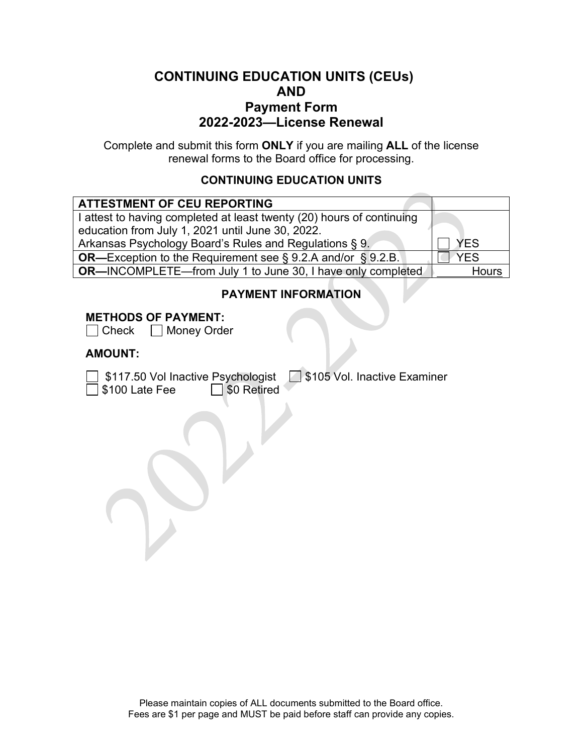## **CONTINUING EDUCATION UNITS (CEUs) AND Payment Form 2022-2023—License Renewal**

Complete and submit this form **ONLY** if you are mailing **ALL** of the license renewal forms to the Board office for processing.

#### **CONTINUING EDUCATION UNITS**

| <b>ATTESTMENT OF CEU REPORTING</b>                                    |            |
|-----------------------------------------------------------------------|------------|
| I attest to having completed at least twenty (20) hours of continuing |            |
| education from July 1, 2021 until June 30, 2022.                      |            |
| Arkansas Psychology Board's Rules and Regulations § 9.                | <b>YFS</b> |
| <b>OR—Exception to the Requirement see § 9.2.A and/or § 9.2.B.</b>    | <b>YFS</b> |
| <b>OR-INCOMPLETE-from July 1 to June 30, I have only completed</b>    | Hours      |

## **PAYMENT INFORMATION**

#### **METHODS OF PAYMENT:**

 $\Box$  Check  $\Box$  Money Order

#### **AMOUNT:**

 $\bar{\bar{\mathbb{1}}}$  \$100 Late Fee

\$117.50 Vol Inactive Psychologist \$105 Vol. Inactive Examiner